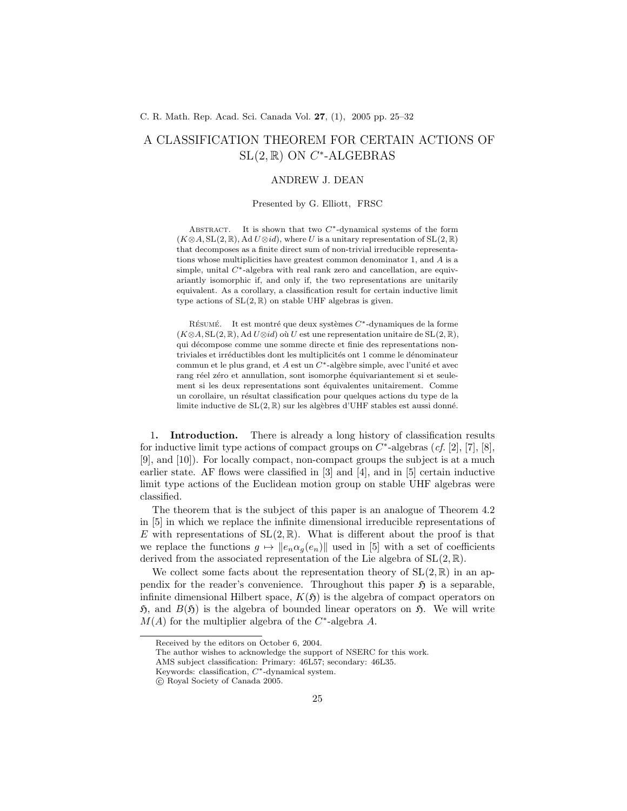# A CLASSIFICATION THEOREM FOR CERTAIN ACTIONS OF  $SL(2,\mathbb{R})$  ON  $C^*$ -ALGEBRAS

# ANDREW J. DEAN

## Presented by G. Elliott, FRSC

ABSTRACT. It is shown that two  $C^*$ -dynamical systems of the form  $(K \otimes A, SL(2, \mathbb{R}), Ad U \otimes id)$ , where U is a unitary representation of  $SL(2, \mathbb{R})$ that decomposes as a finite direct sum of non-trivial irreducible representations whose multiplicities have greatest common denominator 1, and A is a simple, unital C<sup>∗</sup>-algebra with real rank zero and cancellation, are equivariantly isomorphic if, and only if, the two representations are unitarily equivalent. As a corollary, a classification result for certain inductive limit type actions of  $SL(2,\mathbb{R})$  on stable UHF algebras is given.

RÉSUMÉ. It est montré que deux systèmes  $C^*$ -dynamiques de la forme  $(K \otimes A, SL(2, \mathbb{R}), Ad U \otimes id)$  où U est une representation unitaire de  $SL(2, \mathbb{R}),$ qui décompose comme une somme directe et finie des representations nontriviales et irréductibles dont les multiplicités ont 1 comme le dénominateur commun et le plus grand, et  $A$  est un  $C^*$ -algèbre simple, avec l'unité et avec rang réel zéro et annullation, sont isomorphe équivariantement si et seulement si les deux representations sont équivalentes unitairement. Comme un corollaire, un résultat classification pour quelques actions du type de la limite inductive de  $SL(2, \mathbb{R})$  sur les algèbres d'UHF stables est aussi donné.

1. **Introduction.** There is already a long history of classification results for inductive limit type actions of compact groups on  $C^*$ -algebras (cf. [2], [7], [8], [9], and [10]). For locally compact, non-compact groups the subject is at a much earlier state. AF flows were classified in [3] and [4], and in [5] certain inductive limit type actions of the Euclidean motion group on stable UHF algebras were classified.

The theorem that is the subject of this paper is an analogue of Theorem 4.2 in [5] in which we replace the infinite dimensional irreducible representations of E with representations of  $SL(2,\mathbb{R})$ . What is different about the proof is that we replace the functions  $g \mapsto \|e_n \alpha_g(e_n)\|$  used in [5] with a set of coefficients derived from the associated representation of the Lie algebra of  $SL(2,\mathbb{R})$ .

We collect some facts about the representation theory of  $SL(2,\mathbb{R})$  in an appendix for the reader's convenience. Throughout this paper  $\mathfrak H$  is a separable, infinite dimensional Hilbert space,  $K(\mathfrak{H})$  is the algebra of compact operators on  $\mathfrak{H}$ , and  $B(\mathfrak{H})$  is the algebra of bounded linear operators on  $\mathfrak{H}$ . We will write  $M(A)$  for the multiplier algebra of the  $C^*$ -algebra A.

Received by the editors on October 6, 2004.

The author wishes to acknowledge the support of NSERC for this work.

AMS subject classification: Primary: 46L57; secondary: 46L35.

Keywords: classification, C∗-dynamical system.

c Royal Society of Canada 2005.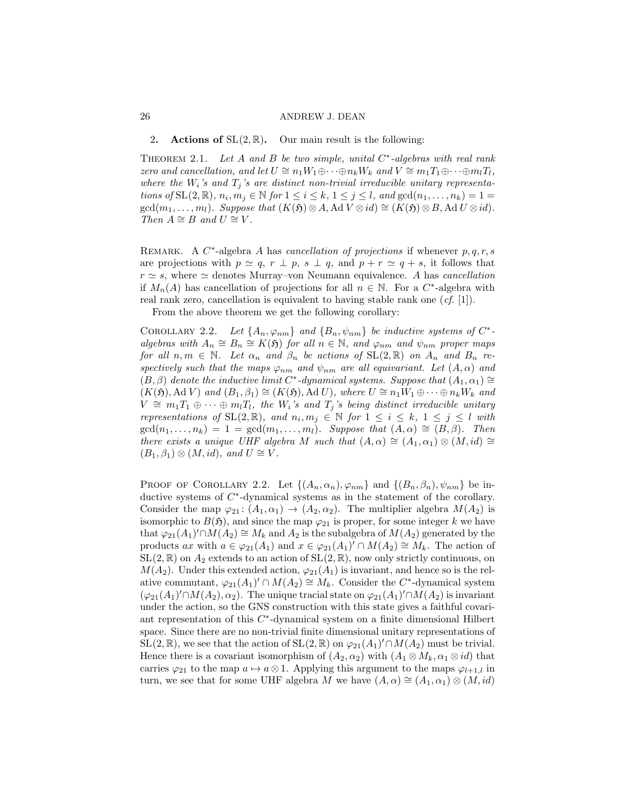2. Actions of  $SL(2,\mathbb{R})$ . Our main result is the following:

THEOREM 2.1. Let A and B be two simple, unital  $C^*$ -algebras with real rank zero and cancellation, and let  $U \cong n_1W_1 \oplus \cdots \oplus n_kW_k$  and  $V \cong m_1T_1 \oplus \cdots \oplus m_lT_l$ , where the  $W_i$ 's and  $T_j$ 's are distinct non-trivial irreducible unitary representations of  $\text{SL}(2,\mathbb{R})$ ,  $n_i, m_j \in \mathbb{N}$  for  $1 \le i \le k, 1 \le j \le l$ , and  $\text{gcd}(n_1, \ldots, n_k) = 1$  $gcd(m_1, \ldots, m_l)$ . Suppose that  $(K(\mathfrak{H}) \otimes A, \text{Ad} \vee \otimes id) \cong (K(\mathfrak{H}) \otimes B, \text{Ad} \cup \otimes id)$ . Then  $A \cong B$  and  $U \cong V$ .

REMARK. A  $C^*$ -algebra A has cancellation of projections if whenever  $p, q, r, s$ are projections with  $p \simeq q$ ,  $r \perp p$ ,  $s \perp q$ , and  $p + r \simeq q + s$ , it follows that  $r \simeq s$ , where  $\simeq$  denotes Murray–von Neumann equivalence. A has *cancellation* if  $M_n(A)$  has cancellation of projections for all  $n \in \mathbb{N}$ . For a  $C^*$ -algebra with real rank zero, cancellation is equivalent to having stable rank one  $(cf. [1])$ .

From the above theorem we get the following corollary:

COROLLARY 2.2. Let  $\{A_n, \varphi_{nm}\}$  and  $\{B_n, \psi_{nm}\}$  be inductive systems of  $C^*$ algebras with  $A_n \cong B_n \cong K(\mathfrak{H})$  for all  $n \in \mathbb{N}$ , and  $\varphi_{nm}$  and  $\psi_{nm}$  proper maps for all  $n, m \in \mathbb{N}$ . Let  $\alpha_n$  and  $\beta_n$  be actions of  $SL(2, \mathbb{R})$  on  $A_n$  and  $B_n$  respectively such that the maps  $\varphi_{nm}$  and  $\psi_{nm}$  are all equivariant. Let  $(A, \alpha)$  and  $(B, \beta)$  denote the inductive limit  $C^*$ -dynamical systems. Suppose that  $(A_1, \alpha_1) \cong$  $(K(\mathfrak{H}), \text{Ad }V)$  and  $(B_1, \beta_1) \cong (K(\mathfrak{H}), \text{Ad }U)$ , where  $U \cong n_1W_1 \oplus \cdots \oplus n_kW_k$  and  $V \cong m_1T_1 \oplus \cdots \oplus m_lT_l$ , the  $W_i$ 's and  $T_j$ 's being distinct irreducible unitary representations of  $SL(2, \mathbb{R})$ , and  $n_i, m_j \in \mathbb{N}$  for  $1 \leq i \leq k, 1 \leq j \leq l$  with  $gcd(n_1, \ldots, n_k) = 1 = gcd(m_1, \ldots, m_l)$ . Suppose that  $(A, \alpha) \cong (B, \beta)$ . Then there exists a unique UHF algebra M such that  $(A, \alpha) \cong (A_1, \alpha_1) \otimes (M, id) \cong$  $(B_1, \beta_1) \otimes (M, id)$ , and  $U \cong V$ .

PROOF OF COROLLARY 2.2. Let  $\{(A_n, \alpha_n), \varphi_{nm}\}\$  and  $\{(B_n, \beta_n), \psi_{nm}\}\$  be inductive systems of  $C^*$ -dynamical systems as in the statement of the corollary. Consider the map  $\varphi_{21}$ :  $(A_1, \alpha_1) \to (A_2, \alpha_2)$ . The multiplier algebra  $M(A_2)$  is isomorphic to  $B(\mathfrak{H})$ , and since the map  $\varphi_{21}$  is proper, for some integer k we have that  $\varphi_{21}(A_1)' \cap M(A_2) \cong M_k$  and  $A_2$  is the subalgebra of  $M(A_2)$  generated by the products ax with  $a \in \varphi_{21}(A_1)$  and  $x \in \varphi_{21}(A_1)' \cap M(A_2) \cong M_k$ . The action of  $SL(2,\mathbb{R})$  on  $A_2$  extends to an action of  $SL(2,\mathbb{R})$ , now only strictly continuous, on  $M(A_2)$ . Under this extended action,  $\varphi_{21}(A_1)$  is invariant, and hence so is the relative commutant,  $\varphi_{21}(A_1)' \cap M(A_2) \cong M_k$ . Consider the C<sup>\*</sup>-dynamical system  $(\varphi_{21}(A_1)' \cap M(A_2), \alpha_2)$ . The unique tracial state on  $\varphi_{21}(A_1)' \cap M(A_2)$  is invariant under the action, so the GNS construction with this state gives a faithful covariant representation of this  $C^*$ -dynamical system on a finite dimensional Hilbert space. Since there are no non-trivial finite dimensional unitary representations of  $SL(2, \mathbb{R})$ , we see that the action of  $SL(2, \mathbb{R})$  on  $\varphi_{21}(A_1)' \cap M(A_2)$  must be trivial. Hence there is a covariant isomorphism of  $(A_2, \alpha_2)$  with  $(A_1 \otimes M_k, \alpha_1 \otimes id)$  that carries  $\varphi_{21}$  to the map  $a \mapsto a \otimes 1$ . Applying this argument to the maps  $\varphi_{l+1,l}$  in turn, we see that for some UHF algebra M we have  $(A, \alpha) \cong (A_1, \alpha_1) \otimes (M, id)$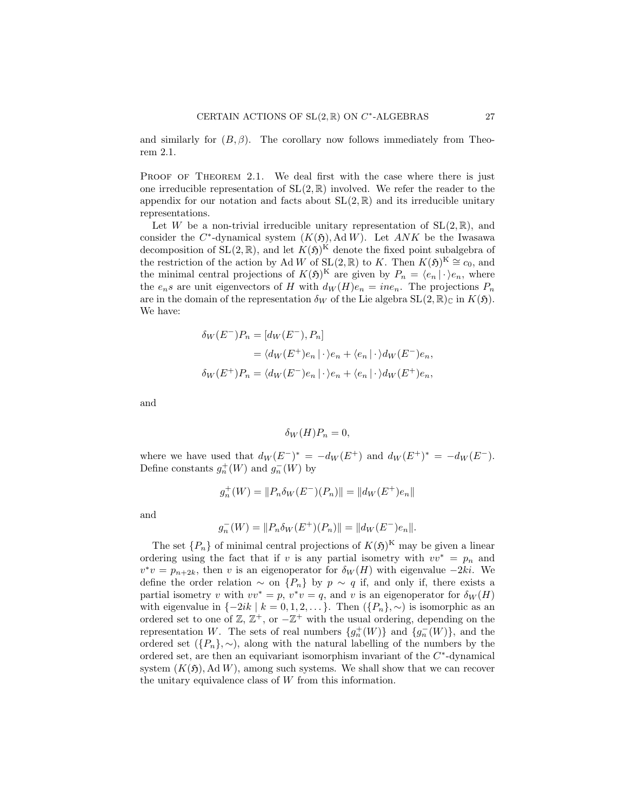and similarly for  $(B, \beta)$ . The corollary now follows immediately from Theorem 2.1.

PROOF OF THEOREM 2.1. We deal first with the case where there is just one irreducible representation of  $SL(2,\mathbb{R})$  involved. We refer the reader to the appendix for our notation and facts about  $SL(2, \mathbb{R})$  and its irreducible unitary representations.

Let W be a non-trivial irreducible unitary representation of  $SL(2,\mathbb{R})$ , and consider the C<sup>\*</sup>-dynamical system  $(K(5), \text{Ad} W)$ . Let ANK be the Iwasawa decomposition of  $SL(2,\mathbb{R})$ , and let  $K(5)^{K}$  denote the fixed point subalgebra of the restriction of the action by Ad W of SL(2, R) to K. Then  $K(\mathfrak{H})^K \cong c_0$ , and the minimal central projections of  $K(\mathfrak{H})^K$  are given by  $P_n = \langle e_n | \cdot \rangle e_n$ , where the  $e_n s$  are unit eigenvectors of H with  $d_W(H)e_n = ine_n$ . The projections  $P_n$ are in the domain of the representation  $\delta_W$  of the Lie algebra  $SL(2,\mathbb{R})_{\mathbb{C}}$  in  $K(\mathfrak{H})$ . We have:

$$
\delta_W(E^-)P_n = [d_W(E^-), P_n]
$$
  
=  $\langle d_W(E^+)e_n | \cdot \rangle e_n + \langle e_n | \cdot \rangle d_W(E^-)e_n$ ,  

$$
\delta_W(E^+)P_n = \langle d_W(E^-)e_n | \cdot \rangle e_n + \langle e_n | \cdot \rangle d_W(E^+)e_n
$$
,

and

$$
\delta_W(H)P_n=0,
$$

where we have used that  $d_W (E^-)^* = -d_W (E^+)$  and  $d_W (E^+)^* = -d_W (E^-)$ . Define constants  $g_n^+(W)$  and  $g_n^-(W)$  by

$$
g_n^+(W) = ||P_n \delta_W(E^-)(P_n)|| = ||d_W(E^+)e_n||
$$

and

$$
g_n^-(W)=\|P_n\delta_W(E^+)(P_n)\|=\|d_W(E^-)e_n\|.
$$

The set  $\{P_n\}$  of minimal central projections of  $K(\mathfrak{H})^K$  may be given a linear ordering using the fact that if v is any partial isometry with  $vv^* = p_n$  and  $v^*v = p_{n+2k}$ , then v is an eigenoperator for  $\delta_W(H)$  with eigenvalue  $-2ki$ . We define the order relation  $\sim$  on  $\{P_n\}$  by  $p \sim q$  if, and only if, there exists a partial isometry v with  $vv^* = p$ ,  $v^*v = q$ , and v is an eigenoperator for  $\delta_W(H)$ with eigenvalue in  $\{-2ik \mid k = 0, 1, 2, \dots\}$ . Then  $(\{P_n\}, \sim)$  is isomorphic as an ordered set to one of  $\mathbb{Z}, \mathbb{Z}^+$ , or  $-\mathbb{Z}^+$  with the usual ordering, depending on the representation W. The sets of real numbers  $\{g_n^+(W)\}\$ and  $\{g_n^-(W)\}\$ , and the ordered set  $({P_n}, \sim)$ , along with the natural labelling of the numbers by the ordered set, are then an equivariant isomorphism invariant of the  $C^*$ -dynamical system  $(K(5), \text{Ad} W)$ , among such systems. We shall show that we can recover the unitary equivalence class of W from this information.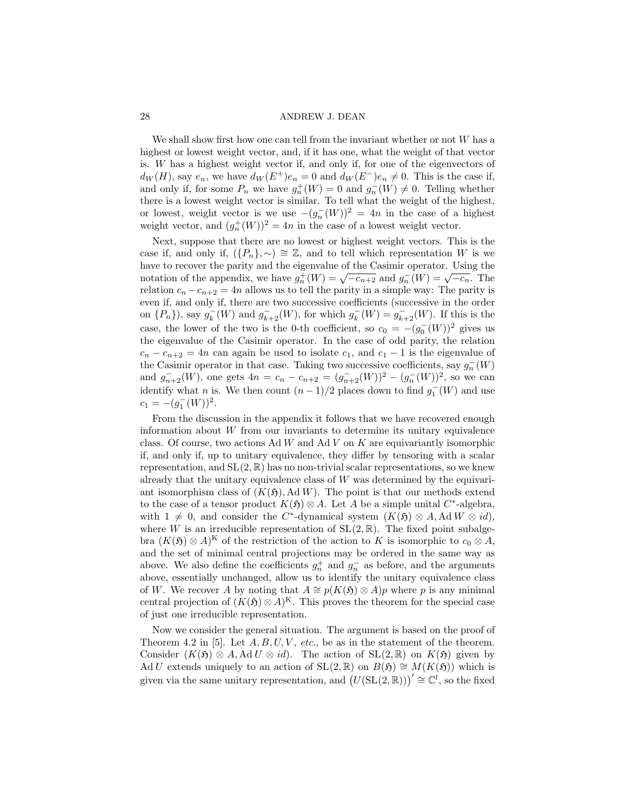We shall show first how one can tell from the invariant whether or not  $W$  has a highest or lowest weight vector, and, if it has one, what the weight of that vector is. W has a highest weight vector if, and only if, for one of the eigenvectors of  $d_W(H)$ , say  $e_n$ , we have  $d_W(E^+)e_n = 0$  and  $d_W(E^-)e_n \neq 0$ . This is the case if, and only if, for some  $P_n$  we have  $g_n^+(W) = 0$  and  $g_n^-(W) \neq 0$ . Telling whether there is a lowest weight vector is similar. To tell what the weight of the highest, or lowest, weight vector is we use  $-(g_n^{-}(W))^2 = 4n$  in the case of a highest weight vector, and  $(g_n^+(W))^2 = 4n$  in the case of a lowest weight vector.

Next, suppose that there are no lowest or highest weight vectors. This is the case if, and only if,  $({P_n}, \sim) \cong \mathbb{Z}$ , and to tell which representation W is we have to recover the parity and the eigenvalue of the Casimir operator. Using the notation of the appendix, we have  $g_n^+(W) = \sqrt{-c_{n+2}}$  and  $g_n^-(W) = \sqrt{-c_n}$ . The relation  $c_n - c_{n+2} = 4n$  allows us to tell the parity in a simple way: The parity is even if, and only if, there are two successive coefficients (successive in the order on  $\{P_n\}$ ), say  $g_k$  $g_k^-(W)$  and  $g_{k+2}^-(W)$ , for which  $g_k^$  $g_k^-(W) = g_{k+2}^-(W)$ . If this is the case, the lower of the two is the 0-th coefficient, so  $c_0 = -(g_0 - g_1)$  $_0^-(W))^2$  gives us the eigenvalue of the Casimir operator. In the case of odd parity, the relation  $c_n - c_{n+2} = 4n$  can again be used to isolate  $c_1$ , and  $c_1 - 1$  is the eigenvalue of the Casimir operator in that case. Taking two successive coefficients, say  $g_n^-(W)$ and  $g_{n+2}^-(W)$ , one gets  $4n = c_n - c_{n+2} = (g_{n+2}^-(W))^2 - (g_n^-(W))^2$ , so we can identify what *n* is. We then count  $(n-1)/2$  places down to find  $g_1^ \overline{1}(W)$  and use  $c_1 = -(g_1^-)$  $_{1}^{-}(W))^{2}.$ 

From the discussion in the appendix it follows that we have recovered enough information about  $W$  from our invariants to determine its unitary equivalence class. Of course, two actions Ad W and Ad V on K are equivariantly isomorphic if, and only if, up to unitary equivalence, they differ by tensoring with a scalar representation, and  $SL(2,\mathbb{R})$  has no non-trivial scalar representations, so we knew already that the unitary equivalence class of W was determined by the equivariant isomorphism class of  $(K(5), \text{Ad} W)$ . The point is that our methods extend to the case of a tensor product  $K(\mathfrak{H}) \otimes A$ . Let A be a simple unital C<sup>\*</sup>-algebra, with  $1 \neq 0$ , and consider the C<sup>\*</sup>-dynamical system  $(K(\mathfrak{H}) \otimes A, \text{Ad} W \otimes id)$ , where W is an irreducible representation of  $SL(2,\mathbb{R})$ . The fixed point subalgebra  $(K(5) \otimes A)^K$  of the restriction of the action to K is isomorphic to  $c_0 \otimes A$ , and the set of minimal central projections may be ordered in the same way as above. We also define the coefficients  $g_n^+$  and  $g_n^-$  as before, and the arguments above, essentially unchanged, allow us to identify the unitary equivalence class of W. We recover A by noting that  $A \cong p(K(\mathfrak{H}) \otimes A)p$  where p is any minimal central projection of  $(K(\mathfrak{H})\otimes A)^K$ . This proves the theorem for the special case of just one irreducible representation.

Now we consider the general situation. The argument is based on the proof of Theorem 4.2 in [5]. Let  $A, B, U, V, etc.,$  be as in the statement of the theorem. Consider  $(K(5) \otimes A, \text{Ad} U \otimes id)$ . The action of  $SL(2, \mathbb{R})$  on  $K(5)$  given by Ad U extends uniquely to an action of  $SL(2,\mathbb{R})$  on  $B(\mathfrak{H}) \cong M(K(\mathfrak{H}))$  which is given via the same unitary representation, and  $(U(SL(2,\mathbb{R})))' \cong \mathbb{C}^l$ , so the fixed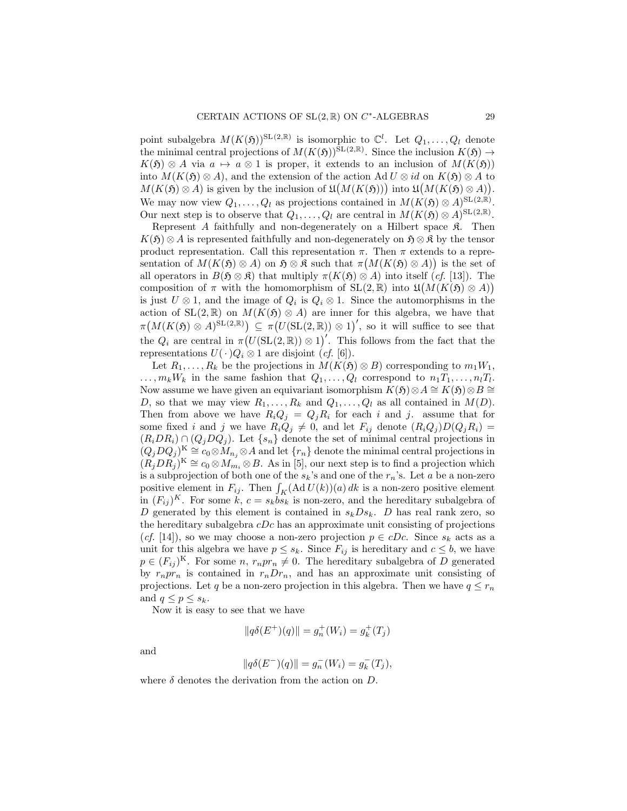point subalgebra  $M(K(\mathfrak{H}))^{\mathrm{SL}(2,\mathbb{R})}$  is isomorphic to  $\mathbb{C}^l$ . Let  $Q_1,\ldots,Q_l$  denote the minimal central projections of  $M(K(\mathfrak{H}))^{\tilde{\mathrm{SL}}(2,\mathbb{R})}$ . Since the inclusion  $K(\mathfrak{H}) \to$  $K(\mathfrak{H}) \otimes A$  via  $a \mapsto a \otimes 1$  is proper, it extends to an inclusion of  $M(K(\mathfrak{H}))$ into  $M(K(\mathfrak{H})\otimes A)$ , and the extension of the action Ad  $U\otimes id$  on  $K(\mathfrak{H})\otimes A$  to  $M(K(\mathfrak{H}) \otimes A)$  is given by the inclusion of  $\mathfrak{U}(M(K(\mathfrak{H})))$  into  $\mathfrak{U}(M(K(\mathfrak{H}) \otimes A))$ . We may now view  $Q_1, \ldots, Q_l$  as projections contained in  $M(K(\mathfrak{H}) \otimes A)^{\mathrm{SL}(2,\mathbb{R})}_{\leq K(\mathfrak{H})}$ . Our next step is to observe that  $Q_1, \ldots, Q_l$  are central in  $M(K(\mathfrak{H}) \otimes A)^{\mathrm{SL}(2,\mathbb{R})}$ .

Represent A faithfully and non-degenerately on a Hilbert space  $\mathfrak{K}$ . Then  $K(\mathfrak{H})\otimes A$  is represented faithfully and non-degenerately on  $\mathfrak{H}\otimes \mathfrak{K}$  by the tensor product representation. Call this representation  $\pi$ . Then  $\pi$  extends to a representation of  $M(K(\mathfrak{H}) \otimes A)$  on  $\mathfrak{H} \otimes \mathfrak{K}$  such that  $\pi(M(K(\mathfrak{H}) \otimes A))$  is the set of all operators in  $B(\mathfrak{H} \otimes \mathfrak{K})$  that multiply  $\pi(K(\mathfrak{H}) \otimes A)$  into itself  $(cf. [13])$ . The composition of  $\pi$  with the homomorphism of  $SL(2,\mathbb{R})$  into  $\mathfrak{U}(M(K(\mathfrak{H})\otimes A))$ is just  $U \otimes 1$ , and the image of  $Q_i$  is  $Q_i \otimes 1$ . Since the automorphisms in the action of  $SL(2,\mathbb{R})$  on  $M(K(\mathfrak{H})\otimes A)$  are inner for this algebra, we have that  $\pi\big(M(K(\mathfrak{H})\otimes A)^{\mathrm{SL}(2,\mathbb{R})}\big) \subseteq \pi\big(U(\mathrm{SL}(2,\mathbb{R}))\otimes 1\big)'$ , so it will suffice to see that the  $Q_i$  are central in  $\pi(U(SL(2,\mathbb{R}))\otimes 1)'$ . This follows from the fact that the representations  $U(\cdot)Q_i \otimes 1$  are disjoint  $(cf. [6]).$ 

Let  $R_1, \ldots, R_k$  be the projections in  $M(K(\mathfrak{H}) \otimes B)$  corresponding to  $m_1W_1$ ,  $\ldots, m_k W_k$  in the same fashion that  $Q_1, \ldots, Q_l$  correspond to  $n_1 T_1, \ldots, n_l T_l$ . Now assume we have given an equivariant isomorphism  $K(\mathfrak{H})\otimes A \cong K(\mathfrak{H})\otimes B \cong$ D, so that we may view  $R_1, \ldots, R_k$  and  $Q_1, \ldots, Q_l$  as all contained in  $M(D)$ . Then from above we have  $R_iQ_j = Q_jR_i$  for each i and j. assume that for some fixed i and j we have  $R_iQ_j \neq 0$ , and let  $F_{ij}$  denote  $(R_iQ_j)D(Q_jR_i)$  =  $(R_iDR_i) \cap (Q_jDQ_j)$ . Let  $\{s_n\}$  denote the set of minimal central projections in  $(Q_j D Q_j)_{Y}^{\text{K}} \cong c_0 \otimes M_{n_j} \otimes A$  and let  $\{r_n\}$  denote the minimal central projections in  $(R_jDR_j)^K \cong c_0 \otimes M_{m_i} \otimes B$ . As in [5], our next step is to find a projection which is a subprojection of both one of the  $s_k$ 's and one of the  $r_n$ 's. Let a be a non-zero positive element in  $F_{ij}$ . Then  $\int_K (\text{Ad } U(k))(a) dk$  is a non-zero positive element in  $(F_{ij})^K$ . For some k,  $c = s_k \overrightarrow{bs}_k$  is non-zero, and the hereditary subalgebra of D generated by this element is contained in  $s_kDs_k$ . D has real rank zero, so the hereditary subalgebra  $cDc$  has an approximate unit consisting of projections (cf. [14]), so we may choose a non-zero projection  $p \in cDc$ . Since  $s_k$  acts as a unit for this algebra we have  $p \leq s_k$ . Since  $F_{ij}$  is hereditary and  $c \leq b$ , we have  $p \in (F_{ij})^K$ . For some  $n, r_npr_n \neq 0$ . The hereditary subalgebra of D generated by  $r_npr_n$  is contained in  $r_nDr_n$ , and has an approximate unit consisting of projections. Let q be a non-zero projection in this algebra. Then we have  $q \leq r_n$ and  $q \leq p \leq s_k$ .

Now it is easy to see that we have

$$
||q\delta(E^+)(q)|| = g_n^+(W_i) = g_k^+(T_j)
$$

and

$$
||q\delta(E^-)(q)|| = g_n^-(W_i) = g_k^-(T_j),
$$

where  $\delta$  denotes the derivation from the action on D.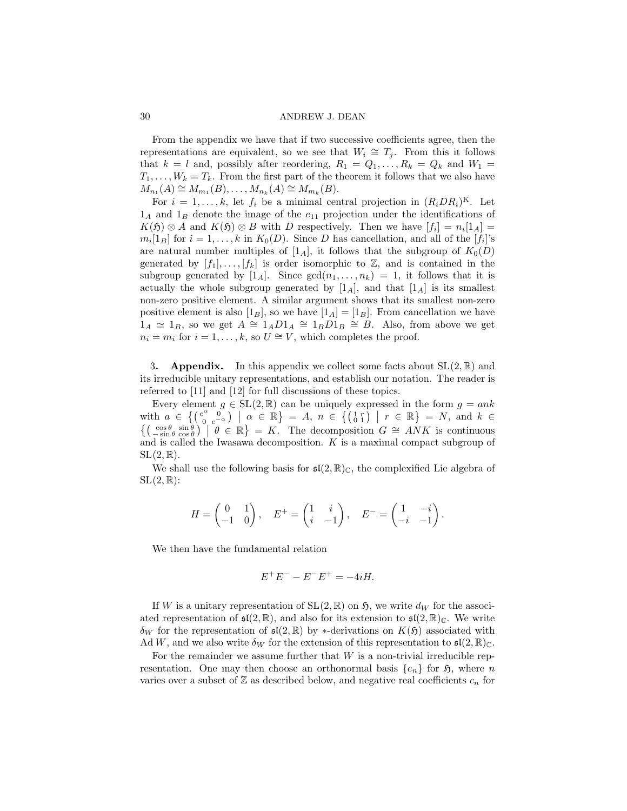From the appendix we have that if two successive coefficients agree, then the representations are equivalent, so we see that  $W_i \cong T_j$ . From this it follows that  $k = l$  and, possibly after reordering,  $R_1 = Q_1, \ldots, R_k = Q_k$  and  $W_1 =$  $T_1, \ldots, W_k = T_k$ . From the first part of the theorem it follows that we also have  $M_{n_1}(A) \cong M_{m_1}(B), \ldots, M_{n_k}(A) \cong M_{m_k}(B).$ 

For  $i = 1, ..., k$ , let  $f_i$  be a minimal central projection in  $(R_i D R_i)^K$ . Let  $1_A$  and  $1_B$  denote the image of the  $e_{11}$  projection under the identifications of  $K(\mathfrak{H}) \otimes A$  and  $K(\mathfrak{H}) \otimes B$  with D respectively. Then we have  $[f_i] = n_i[1_A] =$  $m_i[1_B]$  for  $i = 1, ..., k$  in  $K_0(D)$ . Since D has cancellation, and all of the  $[f_i]$ 's are natural number multiples of [1<sub>A</sub>], it follows that the subgroup of  $K_0(D)$ generated by  $[f_1], \ldots, [f_k]$  is order isomorphic to  $\mathbb{Z}$ , and is contained in the subgroup generated by [1<sub>A</sub>]. Since  $gcd(n_1, \ldots, n_k) = 1$ , it follows that it is actually the whole subgroup generated by  $[1_A]$ , and that  $[1_A]$  is its smallest non-zero positive element. A similar argument shows that its smallest non-zero positive element is also  $[1_B]$ , so we have  $[1_A] = [1_B]$ . From cancellation we have  $1_A \simeq 1_B$ , so we get  $A \cong 1_A D1_A \cong 1_B D1_B \cong B$ . Also, from above we get  $n_i = m_i$  for  $i = 1, ..., k$ , so  $U \cong V$ , which completes the proof.

3. Appendix. In this appendix we collect some facts about  $SL(2,\mathbb{R})$  and its irreducible unitary representations, and establish our notation. The reader is referred to [11] and [12] for full discussions of these topics.

Every element  $g \in SL(2,\mathbb{R})$  can be uniquely expressed in the form  $g = ank$ with  $a \in \{ (e^{\alpha} \circ \over e^{-\alpha}) \mid \alpha \in \mathbb{R} \} = A, n \in \{ (1 \text{ } r \text{ } \overline{\hspace{1cm}} \mid \text{ } r \in \mathbb{R} \} = N, \text{ and } k \in \{ (e^{\alpha} \circ \overline{\hspace{1cm}} \mid \text{ } n \in \mathbb{R} \} = N, \text{ and } k \in \{ (e^{\alpha} \circ \overline{\hspace{1cm}} \mid \text{ } n \in \mathbb{R} \} = N, \text{ and } k \in \{ (e^{\alpha} \circ \overline{\hspace{1cm}} \mid \text{ } n \$  $\left\{ \begin{pmatrix} \cos \theta & \sin \theta \\ -\sin \theta & \cos \theta \end{pmatrix} \middle| \begin{matrix} \theta \in \mathbb{R} \end{matrix} \right\} = K$ . The decomposition  $G \cong ANK$  is continuous and is called the Iwasawa decomposition.  $K$  is a maximal compact subgroup of  $SL(2,\mathbb{R})$ .

We shall use the following basis for  $\mathfrak{sl}(2,\mathbb{R})_{\mathbb{C}}$ , the complexified Lie algebra of  $SL(2,\mathbb{R})$ :

$$
H = \begin{pmatrix} 0 & 1 \\ -1 & 0 \end{pmatrix}, \quad E^+ = \begin{pmatrix} 1 & i \\ i & -1 \end{pmatrix}, \quad E^- = \begin{pmatrix} 1 & -i \\ -i & -1 \end{pmatrix}.
$$

We then have the fundamental relation

$$
E^+E^- - E^-E^+ = -4iH.
$$

If W is a unitary representation of  $SL(2,\mathbb{R})$  on  $\mathfrak{H}$ , we write  $d_W$  for the associated representation of  $\mathfrak{sl}(2,\mathbb{R})$ , and also for its extension to  $\mathfrak{sl}(2,\mathbb{R})_{\mathbb{C}}$ . We write  $\delta_W$  for the representation of  $\mathfrak{sl}(2,\mathbb{R})$  by \*-derivations on  $K(\mathfrak{H})$  associated with Ad W, and we also write  $\delta_W$  for the extension of this representation to  $\mathfrak{sl}(2,\mathbb{R})_{\mathbb{C}}$ .

For the remainder we assume further that  $W$  is a non-trivial irreducible representation. One may then choose an orthonormal basis  $\{e_n\}$  for  $\mathfrak{H}$ , where n varies over a subset of  $\mathbb Z$  as described below, and negative real coefficients  $c_n$  for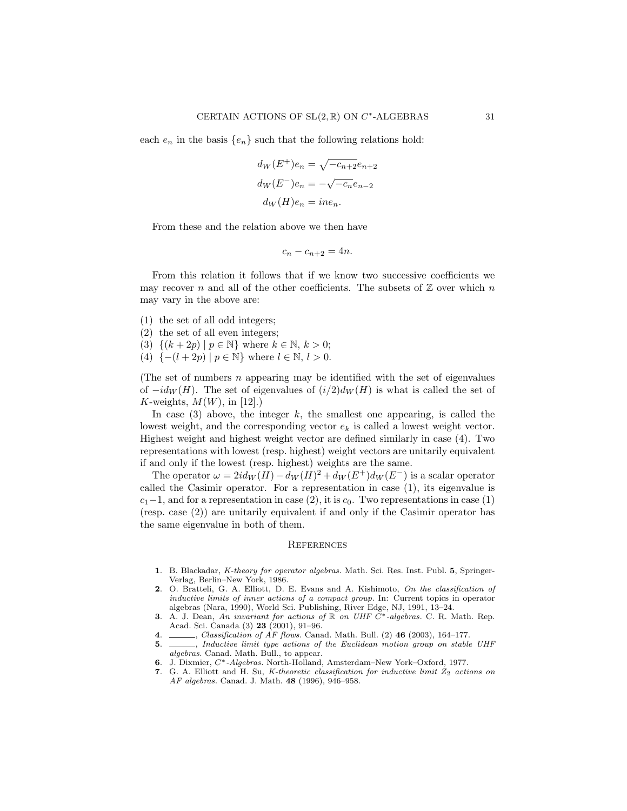each  $e_n$  in the basis  $\{e_n\}$  such that the following relations hold:

$$
d_W(E^+)e_n = \sqrt{-c_{n+2}}e_{n+2}
$$
  

$$
d_W(E^-)e_n = -\sqrt{-c_n}e_{n-2}
$$
  

$$
d_W(H)e_n = ine_n.
$$

From these and the relation above we then have

$$
c_n - c_{n+2} = 4n.
$$

From this relation it follows that if we know two successive coefficients we may recover n and all of the other coefficients. The subsets of  $\mathbb Z$  over which n may vary in the above are:

- (1) the set of all odd integers;
- (2) the set of all even integers;
- (3)  $\{(k+2p) \mid p \in \mathbb{N}\}\)$  where  $k \in \mathbb{N}, k > 0$ ;
- (4)  $\{-(l+2p) \mid p \in \mathbb{N}\}\$  where  $l \in \mathbb{N}, l > 0$ .

(The set of numbers  $n$  appearing may be identified with the set of eigenvalues of  $-id_W(H)$ . The set of eigenvalues of  $(i/2)d_W(H)$  is what is called the set of K-weights,  $M(W)$ , in [12].)

In case  $(3)$  above, the integer k, the smallest one appearing, is called the lowest weight, and the corresponding vector  $e_k$  is called a lowest weight vector. Highest weight and highest weight vector are defined similarly in case (4). Two representations with lowest (resp. highest) weight vectors are unitarily equivalent if and only if the lowest (resp. highest) weights are the same.

The operator  $\omega = 2id_W(\hat{H}) - d_W(\hat{H})^2 + d_W(E^+)d_W(E^-)$  is a scalar operator called the Casimir operator. For a representation in case (1), its eigenvalue is  $c_1-1$ , and for a representation in case (2), it is  $c_0$ . Two representations in case (1) (resp. case (2)) are unitarily equivalent if and only if the Casimir operator has the same eigenvalue in both of them.

#### **REFERENCES**

- 1. B. Blackadar, K-theory for operator algebras. Math. Sci. Res. Inst. Publ. 5, Springer-Verlag, Berlin–New York, 1986.
- 2. O. Bratteli, G. A. Elliott, D. E. Evans and A. Kishimoto, On the classification of inductive limits of inner actions of a compact group. In: Current topics in operator algebras (Nara, 1990), World Sci. Publishing, River Edge, NJ, 1991, 13–24.
- **3.** A. J. Dean, An invariant for actions of  $\mathbb{R}$  on UHF C<sup>\*</sup>-algebras. C. R. Math. Rep. Acad. Sci. Canada (3) 23 (2001), 91–96.
- 4. \_\_\_\_, *Classification of AF flows*. Canad. Math. Bull. (2) 46 (2003), 164-177.
- 5. , Inductive limit type actions of the Euclidean motion group on stable UHF algebras. Canad. Math. Bull., to appear.
- 6. J. Dixmier, C∗-Algebras. North-Holland, Amsterdam–New York–Oxford, 1977.
- 7. G. A. Elliott and H. Su, K-theoretic classification for inductive limit  $Z_2$  actions on AF algebras. Canad. J. Math. 48 (1996), 946–958.